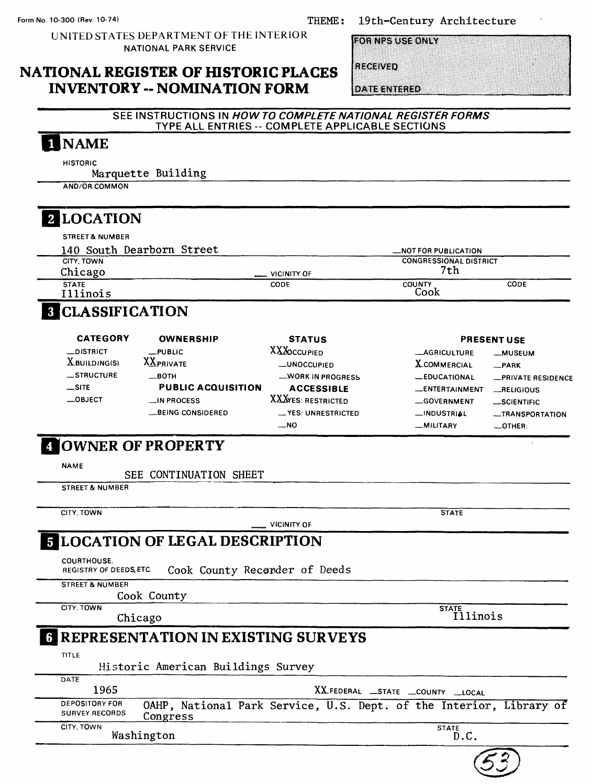19th-century Architecture

UNITED STATES DEPARTMENT OF THE INTERIOR NATIONAL PARK SERVICE

**FOR NPS USE ONLY** 

### **NATIONAL REGISTER OF HISTORIC PLACES INVENTORY -- NOMINATION FORM**

RECEIVED

**DATE ENTERED** 

### **SEE INSTRUCTIONS IN HOW TO COMPLETE NATIONAL REGISTER FORMS**  TYPE ALL ENTRIES -- COMPLETE APPLICABLE SECTIONS

# **NAME**

**HISTORIC** 

Marquette Building

AND/OR COMMON

# **2** LOCATION

| <b>STREET &amp; NUMBER</b> |                                         |                               |      |  |
|----------------------------|-----------------------------------------|-------------------------------|------|--|
| 140 South Dearborn Street  |                                         | <b>MOT FOR PUBLICATION</b>    |      |  |
| CITY, TOWN                 |                                         | <b>CONGRESSIONAL DISTRICT</b> |      |  |
| Chicago                    | VICINITY OF<br>$\overline{\phantom{a}}$ | 7th                           |      |  |
| <b>STATE</b><br>Illinois   | CODE                                    | COUNTY<br>Cook                | CODE |  |

# **8 CLASSIFICATION**

| <b>CATEGORY</b> | <b>OWNERSHIP</b>          | <b>STATUS</b>       |                     | <b>PRESENT USE</b> |
|-----------------|---------------------------|---------------------|---------------------|--------------------|
| _DISTRICT       | $_{\perp}$ PUBLIC         | <b>XXX</b> OCCUPIED | <b>_AGRICULTURE</b> | -MUSEUM            |
| $X$ BUILDING(S) | <b>XXPRIVATE</b>          | -UNOCCUPIED         | <b>X</b> COMMERCIAL | $-$ PARK           |
| $-$ STRUCTURE   | —вотн                     | -WORK IN PROGRESS   | <b>_EDUCATIONAL</b> | -PRIVATE RESIDENCE |
| $\equiv$ SITE   | <b>PUBLIC ACQUISITION</b> | <b>ACCESSIBLE</b>   | -ENTERTAINMENT      | RELIGIOUS          |
| $\_$ OBJECT     | $\equiv$ IN PROCESS       | XXXYES: RESTRICTED  | -GOVERNMENT         | $\_$ SCIENTIFIC    |
|                 | _BEING CONSIDERED         | -YES: UNRESTRICTED  | -INDUSTRIAL         | -TRANSPORTATION    |
|                 |                           | $\sim$ NO           | -MILITARY           | $-$ OTHER:         |

# **OWNER OF PROPERTY**

**NAME**

SEE CONTINUATION SHEET

**STREET & NUMBER**

**CITY. TOWN**

### **VICINITY OF CITY. TOWN** Chicago **STATE LOCATION OF LEGAL DESCRIPTION** COURTHOUSE, REGISTRY OF DEEDS,ETC. Cook County Recorder of Deeds **STREET & NUMBER** Cook County **STATE** Illinois **REPRESENTATION IN EXISTING SURVEYS TITLE** Historic American Buildings Survey **DATE** 1965 **X5LFEDERAL —STATE —COUNTY —LOCAL** DEPOSITORY FOR **OAHP, National Park Service, U.S. Dept. of the Interior, Library of**<br>SURVEY RECORDS **Congress CITY. TOWN STATE** Washington D.C.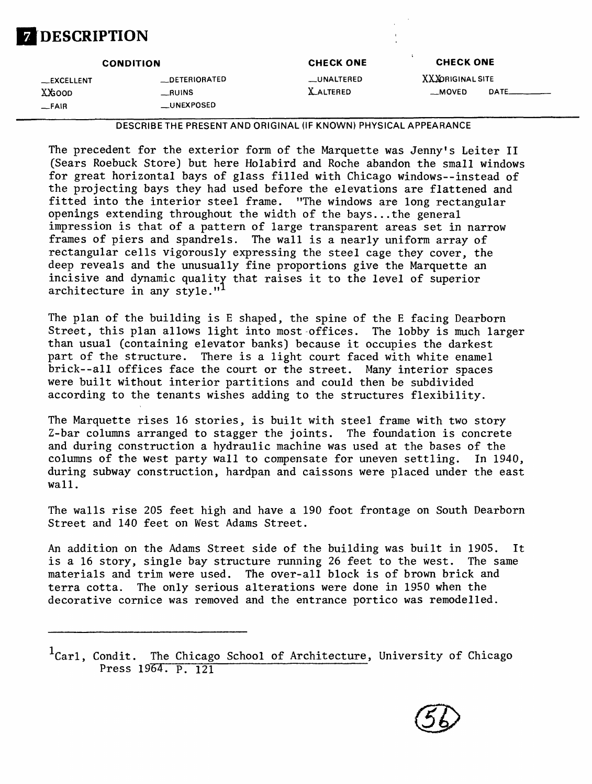# **DESCRIPTION**

|             | <b>CONDITION</b> | <b>CHECK ONE</b> | <b>CHECK ONE</b> |       |
|-------------|------------------|------------------|------------------|-------|
| __EXCELLENT | __DETERIORATED   | __UNALTERED      | XXXORIGINAL SITE |       |
| XXGOOD      | $\_$ RUINS       | <b>XALTERED</b>  | __MOVED          | DATE_ |
| $-$ FAIR    | __UNEXPOSED      |                  |                  |       |

*——————————***DESCRIBE THE PRESENT AND ORIGINAL (IF KNOWN) PHYSICAL APPEARANCE**

The precedent for the exterior form of the Marquette was Jenny's Leiter II (Sears Roebuck Store) but here Holabird and Roche abandon the small windows for great horizontal bays of glass filled with Chicago windows--instead of the projecting bays they had used before the elevations are flattened and fitted into the interior steel frame. "The windows are long rectangular openings extending throughout the width of the bays...the general impression is that of a pattern of large transparent areas set in narrow frames of piers and spandrels. The wall is a nearly uniform array of rectangular cells vigorously expressing the steel cage they cover, the deep reveals and the unusually fine proportions give the Marquette an incisive and dynamic quality that raises it to the level of superior architecture in any style."<sup>1</sup>

The plan of the building is E shaped, the spine of the E facing Dearborn Street, this plan allows light into most offices. The lobby is much larger than usual (containing elevator banks) because it occupies the darkest part of the structure. There is a light court faced with white enamel brick--all offices face the court or the street. Many interior spaces were built without interior partitions and could then be subdivided according to the tenants wishes adding to the structures flexibility.

The Marquette rises 16 stories, is built with steel frame with two story Z-bar columns arranged to stagger the joints. The foundation is concrete and during construction a hydraulic machine was used at the bases of the columns of the west party wall to compensate for uneven settling. In 1940, during subway construction, hardpan and caissons were placed under the east wall.

The walls rise 205 feet high and have a 190 foot frontage on South Dearborn Street and 140 feet on West Adams Street.

An addition on the Adams Street side of the building was built in 1905. It is a 16 story, single bay structure running 26 feet to the west. The same materials and trim were used. The over-all block is of brown brick and terra cotta. The only serious alterations were done in 1950 when the decorative cornice was removed and the entrance portico was remodelled.

 ${}^{1}$ Carl, Condit. The Chicago School of Architecture, University of Chicago Press 1964. P. 121

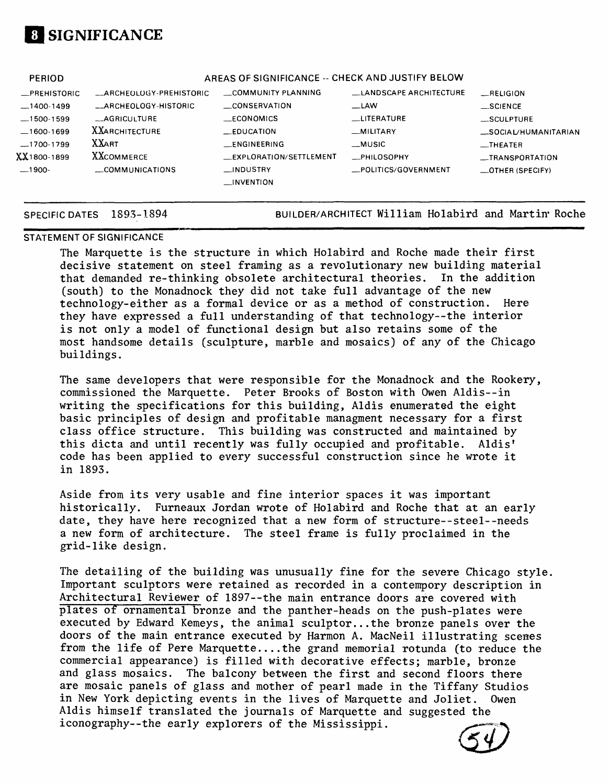

| <b>PERIOD</b> |                         | AREAS OF SIGNIFICANCE -- CHECK AND JUSTIFY BELOW |                        |                          |
|---------------|-------------------------|--------------------------------------------------|------------------------|--------------------------|
| _PREHISTORIC  | _ARCHEOLOGY-PREHISTORIC | COMMUNITY PLANNING                               | LANDSCAPE ARCHITECTURE | RELIGION                 |
| $-1400-1499$  | __ARCHEOLOGY-HISTORIC   | CONSERVATION                                     | $\equiv$ LAW           | $\_SCIENCE$              |
| $-1500-1599$  | __AGRICULTURE           | <b>ECONOMICS</b>                                 | <b>LITERATURE</b>      | $\_$ SCULPTURE           |
| $-1600-1699$  | <b>XXARCHITECTURE</b>   | <b>EDUCATION</b>                                 | _MILITARY              | _SOCIAL/HUMANITARIAN     |
| $-1700-1799$  | <b>XXART</b>            | __ENGINEERING                                    | $-MUSIC$               | $_{\text{}}$ THEATER     |
| XX 1800-1899  | <b>XXCOMMERCE</b>       | _EXPLORATION/SETTLEMENT                          | _PHILOSOPHY            | _TRANSPORTATION          |
| $-1900-$      | $\sim$ COMMUNICATIONS   | $\Box$ INDUSTRY                                  | _POLITICS/GOVERNMENT   | $\equiv$ OTHER (SPECIFY) |
|               |                         | $\Box$ INVENTION                                 |                        |                          |

SPECIFIC DATES 1893-1894 BUILDER/ARCHITECT William Holabird and Martin' Roche

### STATEMENT OF SIGNIFICANCE

The Marquette is the structure in which Holabird and Roche made their first decisive statement on steel framing as a revolutionary new building material that demanded re-thinking obsolete architectural theories. In the addition (south) to the Monadnock they did not take full advantage of the new technology-either as a formal device or as a method of construction. Here they have expressed a full understanding of that technology--the interior is not only a model of functional design but also retains some of the most handsome details (sculpture, marble and mosaics) of any of the Chicago buildings.

The same developers that were responsible for the Monadnock and the Rookery, commissioned the Marquette. Peter Brooks of Boston with Owen Aldis--in writing the specifications for this building, Aldis enumerated the eight basic principles of design and profitable managment necessary for a first class office structure. This building was constructed and maintained by this dicta and until recently was fully occupied and profitable. Aldis' code has been applied to every successful construction since he wrote it in 1893.

Aside from its very usable and fine interior spaces it was important historically. Furneaux Jordan wrote of Holabird and Roche that at an early date, they have here recognized that a new form of structure--steel--needs a new form of architecture. The steel frame is fully proclaimed in the grid-like design.

The detailing of the building was unusually fine for the severe Chicago style, Important sculptors were retained as recorded in a contempory description in Architectural Reviewer of 1897--the main entrance doors are covered with plates of ornamental bronze and the panther-heads on the push-plates were executed by Edward Kemeys, the animal sculptor...the bronze panels over the doors of the main entrance executed by Harmon A. MacNeil illustrating scenes from the life of Pere Marquette....the grand memorial rotunda (to reduce the commercial appearance) is filled with decorative effects; marble, bronze and glass mosaics. The balcony between the first and second floors there are mosaic panels of glass and mother of pearl made in the Tiffany Studios in New York depicting events in the lives of Marquette and Joliet. Owen Aldis himself translated the journals of Marquette and suggested the iconography--the early explorers of the Mississippi.

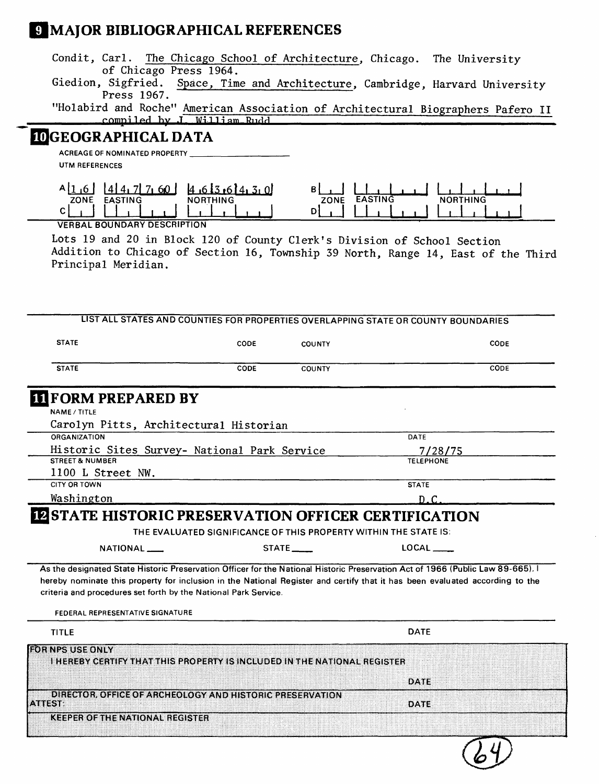# **MAJOR BIBLIOGRAPHICAL REFERENCES**

- Condit, Carl. The Chicago School of Architecture, Chicago. The University of Chicago Press 1964.<br>Giedion, Sigfried. Space, Tim
- Space, Time and Architecture, Cambridge, Harvard University Press 1967.

"Holabird and Roche" American Association of Architectural Biographers Pafero II **p.nmiled by J. William Rudd** 

### **3GEOGRAPHICAL DATA**

**ACREAGE OF NOMINATED PROPERTY \_\_\_\_\_\_\_\_\_\_\_\_\_\_\_\_\_\_\_ UTM REFERENCES**



VERBAL BOUNDARY DESCRIPTION

Lots 19 and 20 in Block 120 of County Clerk's Division of School Section Addition to Chicago of Section 16, Township 39 North, Range 14, East of the Third Principal Meridian.

| <b>STATE</b>                                                                                                                                                                                                                                                                                                                                                         | CODE                                                             | <b>COUNTY</b>           |                         | CODE |
|----------------------------------------------------------------------------------------------------------------------------------------------------------------------------------------------------------------------------------------------------------------------------------------------------------------------------------------------------------------------|------------------------------------------------------------------|-------------------------|-------------------------|------|
| <b>STATE</b>                                                                                                                                                                                                                                                                                                                                                         | CODE                                                             | <b>COUNTY</b>           |                         | CODE |
| <b>IL FORM PREPARED BY</b>                                                                                                                                                                                                                                                                                                                                           |                                                                  |                         |                         |      |
| <b>NAME / TITLE</b>                                                                                                                                                                                                                                                                                                                                                  |                                                                  |                         |                         |      |
| Carolyn Pitts, Architectural Historian                                                                                                                                                                                                                                                                                                                               |                                                                  |                         |                         |      |
| <b>ORGANIZATION</b>                                                                                                                                                                                                                                                                                                                                                  |                                                                  |                         | DATE                    |      |
| Historic Sites Survey- National Park Service                                                                                                                                                                                                                                                                                                                         |                                                                  |                         | 7/28/75                 |      |
| <b>STREET &amp; NUMBER</b>                                                                                                                                                                                                                                                                                                                                           |                                                                  |                         | <b>TELEPHONE</b>        |      |
| 1100 L Street NW.                                                                                                                                                                                                                                                                                                                                                    |                                                                  |                         |                         |      |
| CITY OR TOWN                                                                                                                                                                                                                                                                                                                                                         |                                                                  |                         | <b>STATE</b>            |      |
| Washington                                                                                                                                                                                                                                                                                                                                                           |                                                                  |                         | D.C                     |      |
|                                                                                                                                                                                                                                                                                                                                                                      |                                                                  |                         |                         |      |
| <b>IZ STATE HISTORIC PRESERVATION OFFICER CERTIFICATION</b><br>NATIONAL ____                                                                                                                                                                                                                                                                                         | THE EVALUATED SIGNIFICANCE OF THIS PROPERTY WITHIN THE STATE IS: | $STATE$ <sub>____</sub> | $LOGAL$ <sub>____</sub> |      |
| As the designated State Historic Preservation Officer for the National Historic Preservation Act of 1966 (Public Law 89-665).<br>hereby nominate this property for inclusion in the National Register and certify that it has been evaluated according to the<br>criteria and procedures set forth by the National Park Service.<br>FEDERAL REPRESENTATIVE SIGNATURE |                                                                  |                         |                         |      |
| <b>TITLE</b>                                                                                                                                                                                                                                                                                                                                                         |                                                                  |                         | <b>DATE</b>             |      |
| FOR NPS USE ONLY<br><b>I HEREBY CERTIFY THAT THIS PROPERTY IS INCLUDED IN THE NATIONAL REGISTER</b>                                                                                                                                                                                                                                                                  |                                                                  |                         |                         |      |
|                                                                                                                                                                                                                                                                                                                                                                      |                                                                  |                         | DATE                    |      |
| DIRECTOR, OFFICE OF ARCHEOLOGY AND HISTORIC PRESERVATION<br><b>ATTLEST:</b>                                                                                                                                                                                                                                                                                          |                                                                  |                         | DATE                    |      |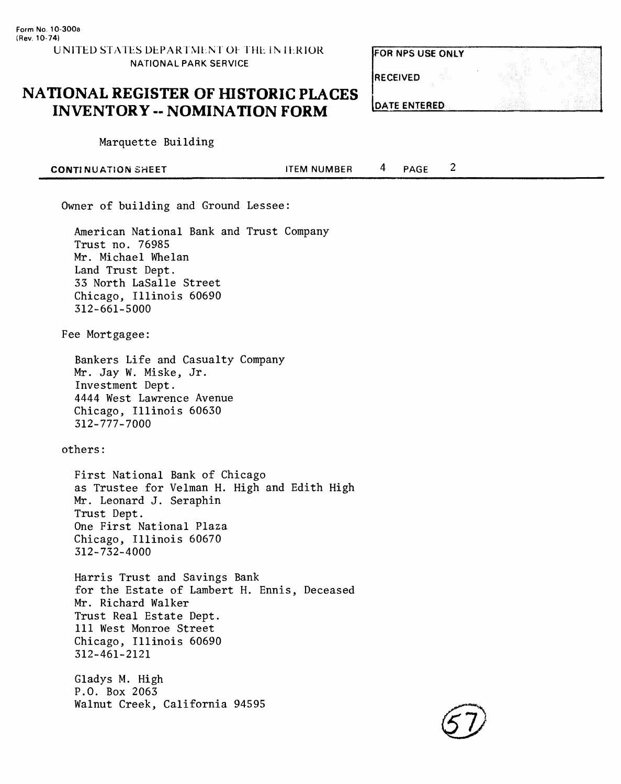FOR NPS USE ONLY

RECEIVED

**DATE ENTERED** 

## **NATIONAL REGISTER OF HISTORIC PLACES INVENTORY -- NOMINATION FORM**

Marquette Building

| <b>CONTINUATION SHEET</b> | <b>ITEM NUMBER</b> | <b>PAGE</b> | ے |  |
|---------------------------|--------------------|-------------|---|--|
|                           |                    |             |   |  |

Owner of building and Ground Lessee:

American National Bank and Trust Company Trust no. 76985 Mr. Michael Whelan Land Trust Dept. 33 North LaSalle Street Chicago, Illinois 60690 312-661-5000

Fee Mortgagee:

Bankers Life and Casualty Company Mr. Jay W. Miske, Jr. Investment Dept. 4444 West Lawrence Avenue Chicago, Illinois 60630 312-777-7000

others:

First National Bank of Chicago as Trustee for Velman H. High and Edith High Mr. Leonard J. Seraphin Trust Dept. One First National Plaza Chicago, Illinois 60670 312-732-4000

Harris Trust and Savings Bank for the Estate of Lambert H. Ennis, Deceased Mr. Richard Walker Trust Real Estate Dept. Ill West Monroe Street Chicago, Illinois 60690 312-461-2121

Gladys M. High P.O. Box 2063 Walnut Creek, California 94595

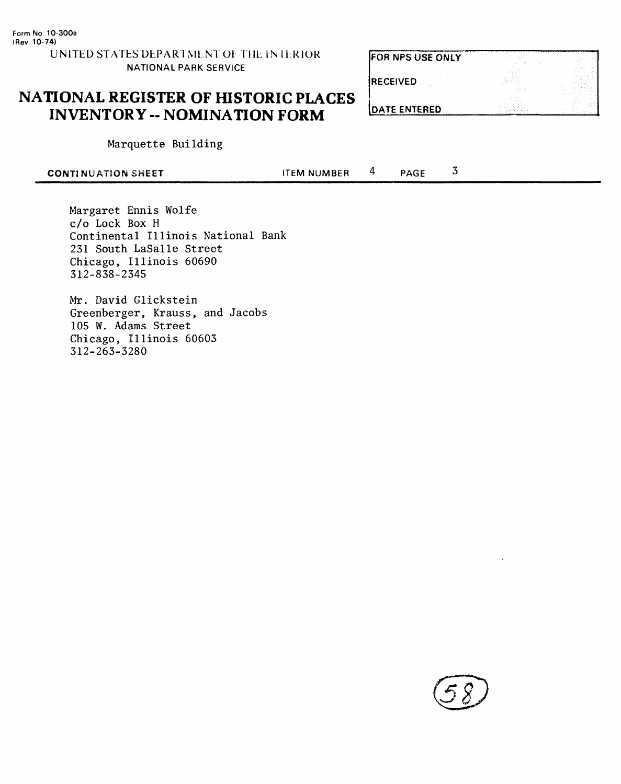### FOR NPS USE ONLY

**RECEIVED** 

| <b>NATIONAL REGISTER OF HISTORIC PLACES</b> |
|---------------------------------------------|
| <b>INVENTORY -- NOMINATION FORM</b>         |

| <b>IDATE ENTERED</b> |  |
|----------------------|--|

Marquette Building

| <b>CONTINUATION SHEET</b> | <b>ITEM NUMBER</b> | <b>PAGE</b> |  |
|---------------------------|--------------------|-------------|--|
|                           |                    |             |  |

Margaret Ennis Wolfe c/o Lock Box H Continental Illinois National Bank 231 South LaSalle Street Chicago, Illinois 60690 312-838-2345

Mr. David Glickstein Greenberger, Krauss, and Jacobs 105 W. Adams Street Chicago, Illinois 60603 312-263-3280

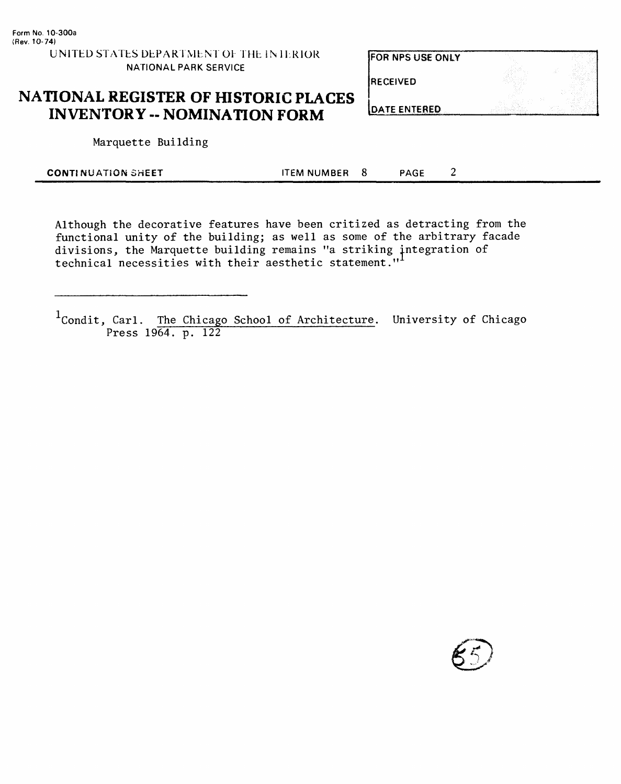**FOR NPS USE ONLY** 

RECEIVED

DATE ENTERED

# **NATIONAL REGISTER OF HISTORIC PLACES INVENTORY - NOMINATION FORM**

Marquette Building

| <b>CONTINUATION SHEET</b> | ITEM NUMBER 8 | <b>PAGE</b> |  |
|---------------------------|---------------|-------------|--|
|                           |               |             |  |

Although the decorative features have been critized as detracting from the functional unity of the building; as well as some of the arbitrary facade divisions, the Marquette building remains "a striking integration of technical necessities with their aesthetic statement."

<sup>1</sup>Condit, Carl. The Chicago School of Architecture. University of Chicago Press 1964. p. 122